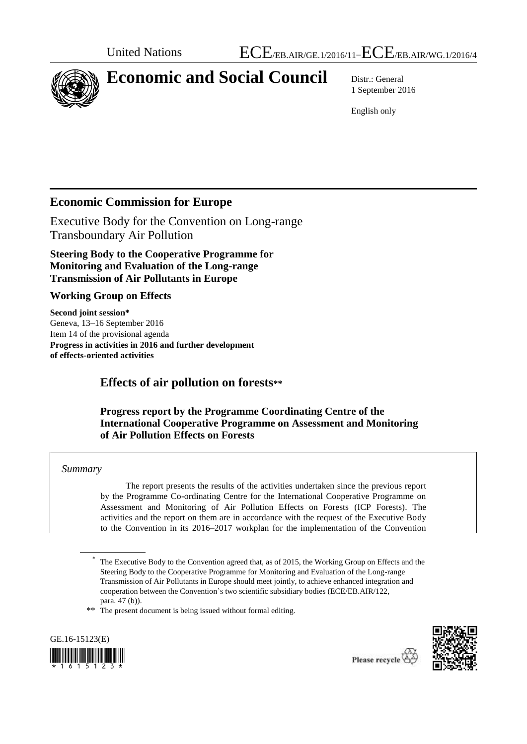

# **Economic and Social Council** Distr.: General

1 September 2016

English only

## **Economic Commission for Europe**

Executive Body for the Convention on Long-range Transboundary Air Pollution

**Steering Body to the Cooperative Programme for Monitoring and Evaluation of the Long-range Transmission of Air Pollutants in Europe**

#### **Working Group on Effects**

**Second joint session\*** Geneva, 13–16 September 2016 Item 14 of the provisional agenda **Progress in activities in 2016 and further development of effects-oriented activities**

## **Effects of air pollution on forests\*\***

#### **Progress report by the Programme Coordinating Centre of the International Cooperative Programme on Assessment and Monitoring of Air Pollution Effects on Forests**

#### *Summary*

The report presents the results of the activities undertaken since the previous report by the Programme Co-ordinating Centre for the International Cooperative Programme on Assessment and Monitoring of Air Pollution Effects on Forests (ICP Forests). The activities and the report on them are in accordance with the request of the Executive Body to the Convention in its 2016–2017 workplan for the implementation of the Convention

\*\* The present document is being issued without formal editing.





<sup>\*</sup> The Executive Body to the Convention agreed that, as of 2015, the Working Group on Effects and the Steering Body to the Cooperative Programme for Monitoring and Evaluation of the Long-range Transmission of Air Pollutants in Europe should meet jointly, to achieve enhanced integration and cooperation between the Convention's two scientific subsidiary bodies (ECE/EB.AIR/122, para. 47 (b)).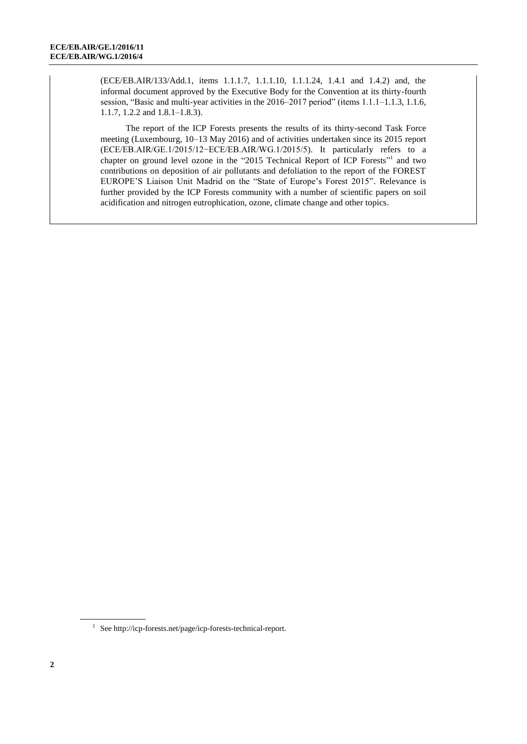(ECE/EB.AIR/133/Add.1, items 1.1.1.7, 1.1.1.10, 1.1.1.24, 1.4.1 and 1.4.2) and, the informal document approved by the Executive Body for the Convention at its thirty-fourth session, "Basic and multi-year activities in the 2016–2017 period" (items 1.1.1–1.1.3, 1.1.6, 1.1.7, 1.2.2 and 1.8.1–1.8.3).

The report of the ICP Forests presents the results of its thirty-second Task Force meeting (Luxembourg, 10–13 May 2016) and of activities undertaken since its 2015 report (ECE/EB.AIR/GE.1/2015/12−ECE/EB.AIR/WG.1/2015/5). It particularly refers to a chapter on ground level ozone in the "2015 Technical Report of ICP Forests"<sup>1</sup> and two contributions on deposition of air pollutants and defoliation to the report of the FOREST EUROPE'S Liaison Unit Madrid on the "State of Europe's Forest 2015". Relevance is further provided by the ICP Forests community with a number of scientific papers on soil acidification and nitrogen eutrophication, ozone, climate change and other topics.

<sup>1</sup> Se[e http://icp-forests.net/page/icp-forests-technical-report.](http://icp-forests.net/page/icp-forests-technical-report)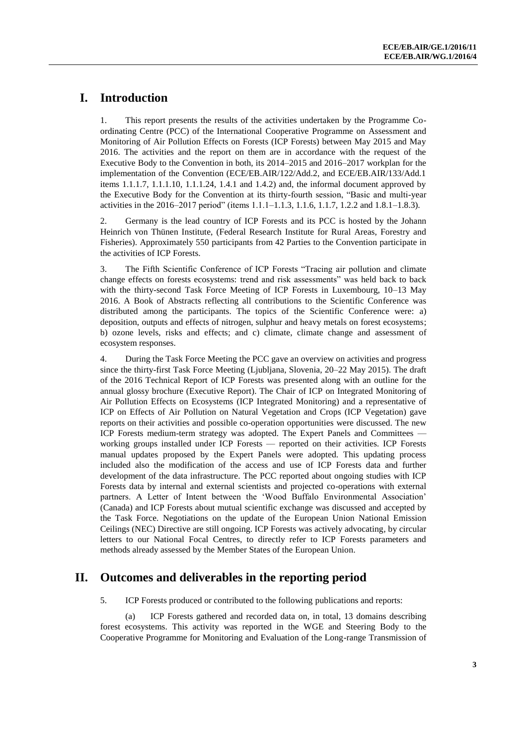## **I. Introduction**

1. This report presents the results of the activities undertaken by the Programme Coordinating Centre (PCC) of the International Cooperative Programme on Assessment and Monitoring of Air Pollution Effects on Forests (ICP Forests) between May 2015 and May 2016. The activities and the report on them are in accordance with the request of the Executive Body to the Convention in both, its 2014–2015 and 2016–2017 workplan for the implementation of the Convention (ECE/EB.AIR/122/Add.2, and ECE/EB.AIR/133/Add.1 items 1.1.1.7, 1.1.1.10, 1.1.1.24, 1.4.1 and 1.4.2) and, the informal document approved by the Executive Body for the Convention at its thirty-fourth session, "Basic and multi-year activities in the 2016–2017 period" (items 1.1.1–1.1.3, 1.1.6, 1.1.7, 1.2.2 and 1.8.1–1.8.3).

2. Germany is the lead country of ICP Forests and its PCC is hosted by the Johann Heinrich von Thünen Institute, (Federal Research Institute for Rural Areas, Forestry and Fisheries). Approximately 550 participants from 42 Parties to the Convention participate in the activities of ICP Forests.

3. The Fifth Scientific Conference of ICP Forests "Tracing air pollution and climate change effects on forests ecosystems: trend and risk assessments" was held back to back with the thirty-second Task Force Meeting of ICP Forests in Luxembourg, 10–13 May 2016. A Book of Abstracts reflecting all contributions to the Scientific Conference was distributed among the participants. The topics of the Scientific Conference were: a) deposition, outputs and effects of nitrogen, sulphur and heavy metals on forest ecosystems; b) ozone levels, risks and effects; and c) climate, climate change and assessment of ecosystem responses.

4. During the Task Force Meeting the PCC gave an overview on activities and progress since the thirty-first Task Force Meeting (Ljubljana, Slovenia, 20–22 May 2015). The draft of the 2016 Technical Report of ICP Forests was presented along with an outline for the annual glossy brochure (Executive Report). The Chair of ICP on Integrated Monitoring of Air Pollution Effects on Ecosystems (ICP Integrated Monitoring) and a representative of ICP on Effects of Air Pollution on Natural Vegetation and Crops (ICP Vegetation) gave reports on their activities and possible co-operation opportunities were discussed. The new ICP Forests medium-term strategy was adopted. The Expert Panels and Committees working groups installed under ICP Forests — reported on their activities. ICP Forests manual updates proposed by the Expert Panels were adopted. This updating process included also the modification of the access and use of ICP Forests data and further development of the data infrastructure. The PCC reported about ongoing studies with ICP Forests data by internal and external scientists and projected co-operations with external partners. A Letter of Intent between the 'Wood Buffalo Environmental Association' (Canada) and ICP Forests about mutual scientific exchange was discussed and accepted by the Task Force. Negotiations on the update of the European Union National Emission Ceilings (NEC) Directive are still ongoing. ICP Forests was actively advocating, by circular letters to our National Focal Centres, to directly refer to ICP Forests parameters and methods already assessed by the Member States of the European Union.

## **II. Outcomes and deliverables in the reporting period**

5. ICP Forests produced or contributed to the following publications and reports:

(a) ICP Forests gathered and recorded data on, in total, 13 domains describing forest ecosystems. This activity was reported in the WGE and Steering Body to the Cooperative Programme for Monitoring and Evaluation of the Long-range Transmission of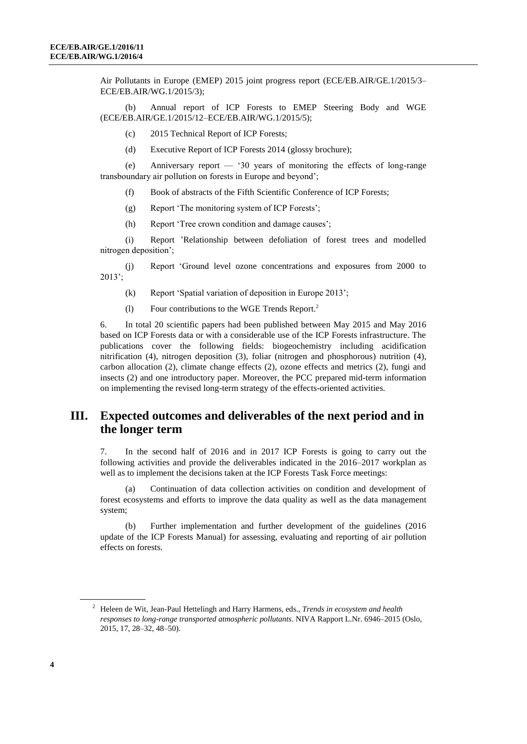Air Pollutants in Europe (EMEP) 2015 joint progress report (ECE/EB.AIR/GE.1/2015/3– ECE/EB.AIR/WG.1/2015/3);

(b) Annual report of ICP Forests to EMEP Steering Body and WGE (ECE/EB.AIR/GE.1/2015/12–ECE/EB.AIR/WG.1/2015/5);

- (c) 2015 Technical Report of ICP Forests;
- (d) Executive Report of ICP Forests 2014 (glossy brochure);

(e) Anniversary report — '30 years of monitoring the effects of long-range transboundary air pollution on forests in Europe and beyond';

- (f) Book of abstracts of the Fifth Scientific Conference of ICP Forests;
- (g) Report 'The monitoring system of ICP Forests';

(h) Report 'Tree crown condition and damage causes';

(i) Report 'Relationship between defoliation of forest trees and modelled nitrogen deposition';

(j) Report 'Ground level ozone concentrations and exposures from 2000 to 2013';

- (k) Report 'Spatial variation of deposition in Europe 2013';
- (l) Four contributions to the WGE Trends Report. 2

6. In total 20 scientific papers had been published between May 2015 and May 2016 based on ICP Forests data or with a considerable use of the ICP Forests infrastructure. The publications cover the following fields: biogeochemistry including acidification nitrification (4), nitrogen deposition (3), foliar (nitrogen and phosphorous) nutrition (4), carbon allocation (2), climate change effects (2), ozone effects and metrics (2), fungi and insects (2) and one introductory paper. Moreover, the PCC prepared mid-term information on implementing the revised long-term strategy of the effects-oriented activities.

#### **III. Expected outcomes and deliverables of the next period and in the longer term**

7. In the second half of 2016 and in 2017 ICP Forests is going to carry out the following activities and provide the deliverables indicated in the 2016–2017 workplan as well as to implement the decisions taken at the ICP Forests Task Force meetings:

(a) Continuation of data collection activities on condition and development of forest ecosystems and efforts to improve the data quality as well as the data management system;

(b) Further implementation and further development of the guidelines (2016 update of the ICP Forests Manual) for assessing, evaluating and reporting of air pollution effects on forests.

<sup>2</sup> Heleen de Wit, Jean-Paul Hettelingh and Harry Harmens, eds., *Trends in ecosystem and health responses to long-range transported atmospheric pollutants*. NIVA Rapport L.Nr. 6946–2015 (Oslo, 2015, 17, 28–32, 48–50).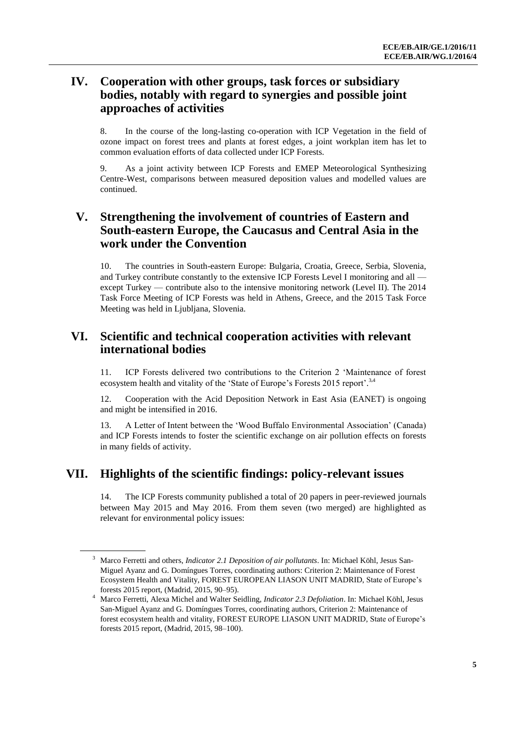## **IV. Cooperation with other groups, task forces or subsidiary bodies, notably with regard to synergies and possible joint approaches of activities**

8. In the course of the long-lasting co-operation with ICP Vegetation in the field of ozone impact on forest trees and plants at forest edges, a joint workplan item has let to common evaluation efforts of data collected under ICP Forests.

9. As a joint activity between ICP Forests and EMEP Meteorological Synthesizing Centre-West, comparisons between measured deposition values and modelled values are continued.

## **V. Strengthening the involvement of countries of Eastern and South-eastern Europe, the Caucasus and Central Asia in the work under the Convention**

10. The countries in South-eastern Europe: Bulgaria, Croatia, Greece, Serbia, Slovenia, and Turkey contribute constantly to the extensive ICP Forests Level I monitoring and all except Turkey — contribute also to the intensive monitoring network (Level II). The  $2014$ Task Force Meeting of ICP Forests was held in Athens, Greece, and the 2015 Task Force Meeting was held in Ljubljana, Slovenia.

#### **VI. Scientific and technical cooperation activities with relevant international bodies**

11. ICP Forests delivered two contributions to the Criterion 2 'Maintenance of forest ecosystem health and vitality of the 'State of Europe's Forests 2015 report'.<sup>3,4</sup>

12. Cooperation with the Acid Deposition Network in East Asia (EANET) is ongoing and might be intensified in 2016.

13. A Letter of Intent between the 'Wood Buffalo Environmental Association' (Canada) and ICP Forests intends to foster the scientific exchange on air pollution effects on forests in many fields of activity.

## **VII. Highlights of the scientific findings: policy-relevant issues**

14. The ICP Forests community published a total of 20 papers in peer-reviewed journals between May 2015 and May 2016. From them seven (two merged) are highlighted as relevant for environmental policy issues:

<sup>3</sup> Marco Ferretti and others, *Indicator 2.1 Deposition of air pollutants*. In: Michael Köhl, Jesus San-Miguel Ayanz and G. Domíngues Torres, coordinating authors: Criterion 2: Maintenance of Forest Ecosystem Health and Vitality, FOREST EUROPEAN LIASON UNIT MADRID, State of Europe's forests 2015 report, (Madrid, 2015, 90–95).

<sup>4</sup> Marco Ferretti, Alexa Michel and Walter Seidling, *Indicator 2.3 Defoliation*. In: Michael Köhl, Jesus San-Miguel Ayanz and G. Domíngues Torres, coordinating authors, Criterion 2: Maintenance of forest ecosystem health and vitality, FOREST EUROPE LIASON UNIT MADRID, State of Europe's forests 2015 report, (Madrid, 2015, 98–100).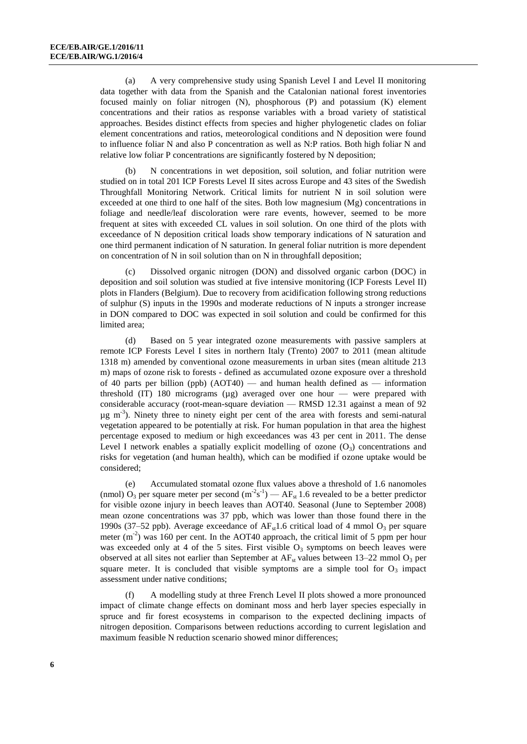(a) A very comprehensive study using Spanish Level I and Level II monitoring data together with data from the Spanish and the Catalonian national forest inventories focused mainly on foliar nitrogen (N), phosphorous (P) and potassium (K) element concentrations and their ratios as response variables with a broad variety of statistical approaches. Besides distinct effects from species and higher phylogenetic clades on foliar element concentrations and ratios, meteorological conditions and N deposition were found to influence foliar N and also P concentration as well as N:P ratios. Both high foliar N and relative low foliar P concentrations are significantly fostered by N deposition;

(b) N concentrations in wet deposition, soil solution, and foliar nutrition were studied on in total 201 ICP Forests Level II sites across Europe and 43 sites of the Swedish Throughfall Monitoring Network. Critical limits for nutrient N in soil solution were exceeded at one third to one half of the sites. Both low magnesium (Mg) concentrations in foliage and needle/leaf discoloration were rare events, however, seemed to be more frequent at sites with exceeded CL values in soil solution. On one third of the plots with exceedance of N deposition critical loads show temporary indications of N saturation and one third permanent indication of N saturation. In general foliar nutrition is more dependent on concentration of N in soil solution than on N in throughfall deposition;

(c) Dissolved organic nitrogen (DON) and dissolved organic carbon (DOC) in deposition and soil solution was studied at five intensive monitoring (ICP Forests Level II) plots in Flanders (Belgium). Due to recovery from acidification following strong reductions of sulphur (S) inputs in the 1990s and moderate reductions of N inputs a stronger increase in DON compared to DOC was expected in soil solution and could be confirmed for this limited area;

(d) Based on 5 year integrated ozone measurements with passive samplers at remote ICP Forests Level I sites in northern Italy (Trento) 2007 to 2011 (mean altitude 1318 m) amended by conventional ozone measurements in urban sites (mean altitude 213 m) maps of ozone risk to forests - defined as accumulated ozone exposure over a threshold of 40 parts per billion (ppb)  $(AOT40)$  — and human health defined as — information threshold (IT) 180 micrograms (µg) averaged over one hour — were prepared with considerable accuracy (root-mean-square deviation — RMSD 12.31 against a mean of 92  $\mu$ g m<sup>-3</sup>). Ninety three to ninety eight per cent of the area with forests and semi-natural vegetation appeared to be potentially at risk. For human population in that area the highest percentage exposed to medium or high exceedances was 43 per cent in 2011. The dense Level I network enables a spatially explicit modelling of ozone  $(O_3)$  concentrations and risks for vegetation (and human health), which can be modified if ozone uptake would be considered;

(e) Accumulated stomatal ozone flux values above a threshold of 1.6 nanomoles (nmol)  $O_3$  per square meter per second (m<sup>-2</sup>s<sup>-1</sup>) — AF<sub>st</sub> 1.6 revealed to be a better predictor for visible ozone injury in beech leaves than AOT40. Seasonal (June to September 2008) mean ozone concentrations was 37 ppb, which was lower than those found there in the 1990s (37–52 ppb). Average exceedance of  $AF_{st}1.6$  critical load of 4 mmol  $O_3$  per square meter  $(m<sup>2</sup>)$  was 160 per cent. In the AOT40 approach, the critical limit of 5 ppm per hour was exceeded only at 4 of the 5 sites. First visible  $O_3$  symptoms on beech leaves were observed at all sites not earlier than September at  $AF_{st}$  values between 13–22 mmol  $O_3$  per square meter. It is concluded that visible symptoms are a simple tool for  $O<sub>3</sub>$  impact assessment under native conditions;

(f) A modelling study at three French Level II plots showed a more pronounced impact of climate change effects on dominant moss and herb layer species especially in spruce and fir forest ecosystems in comparison to the expected declining impacts of nitrogen deposition. Comparisons between reductions according to current legislation and maximum feasible N reduction scenario showed minor differences;